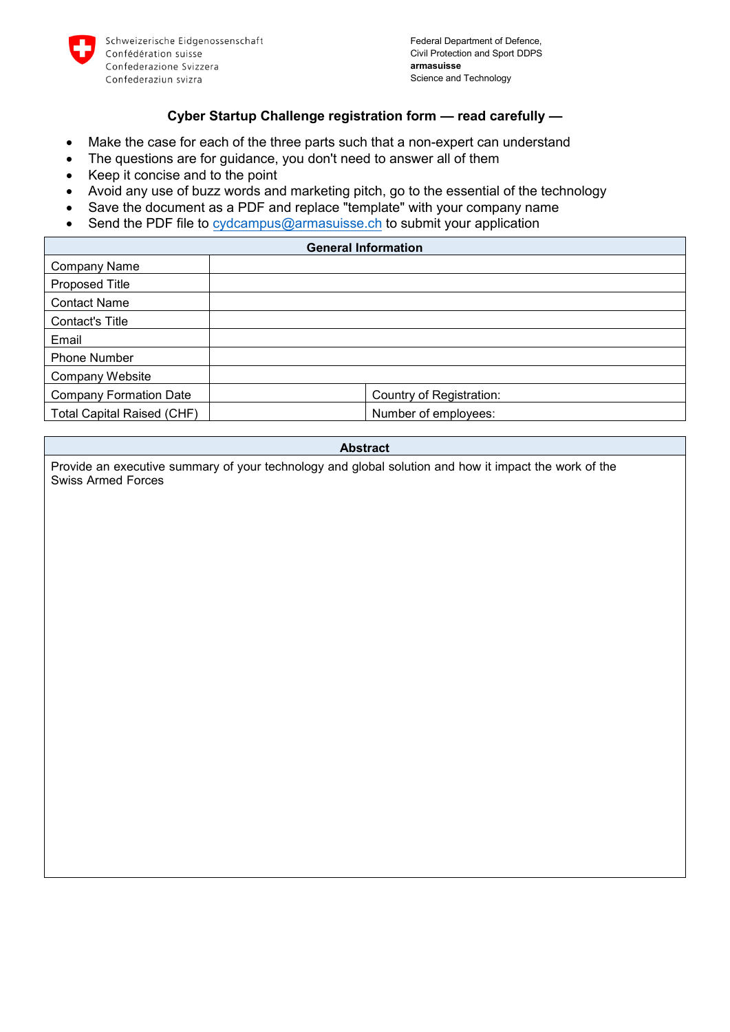

#### **Cyber Startup Challenge registration form — read carefully —**

- Make the case for each of the three parts such that a non-expert can understand
- The questions are for guidance, you don't need to answer all of them
- Keep it concise and to the point
- Avoid any use of buzz words and marketing pitch, go to the essential of the technology
- Save the document as a PDF and replace "template" with your company name
- Send the PDF file to [cydcampus@armasuisse.ch](mailto:cydcampus@armasuisse.ch) to submit your application

| <b>General Information</b>        |                          |
|-----------------------------------|--------------------------|
| <b>Company Name</b>               |                          |
| <b>Proposed Title</b>             |                          |
| <b>Contact Name</b>               |                          |
| Contact's Title                   |                          |
| Email                             |                          |
| <b>Phone Number</b>               |                          |
| Company Website                   |                          |
| <b>Company Formation Date</b>     | Country of Registration: |
| <b>Total Capital Raised (CHF)</b> | Number of employees:     |

#### **Abstract**

Provide an executive summary of your technology and global solution and how it impact the work of the Swiss Armed Forces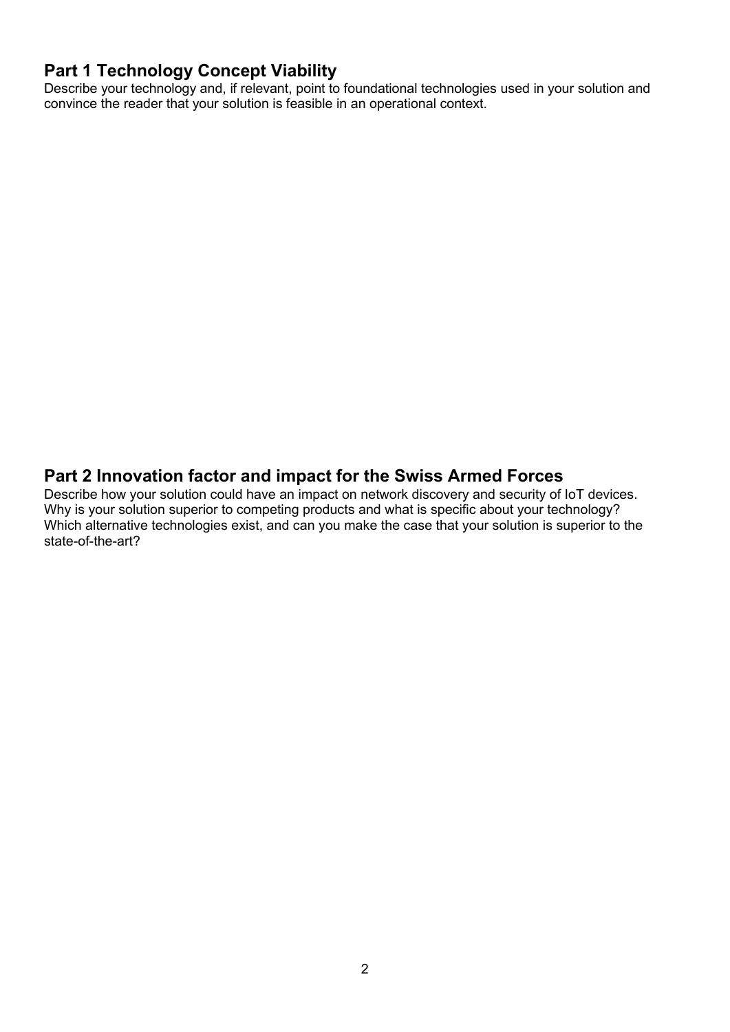## **Part 1 Technology Concept Viability**

Describe your technology and, if relevant, point to foundational technologies used in your solution and convince the reader that your solution is feasible in an operational context.

### **Part 2 Innovation factor and impact for the Swiss Armed Forces**

Describe how your solution could have an impact on network discovery and security of IoT devices. Why is your solution superior to competing products and what is specific about your technology? Which alternative technologies exist, and can you make the case that your solution is superior to the state-of-the-art?